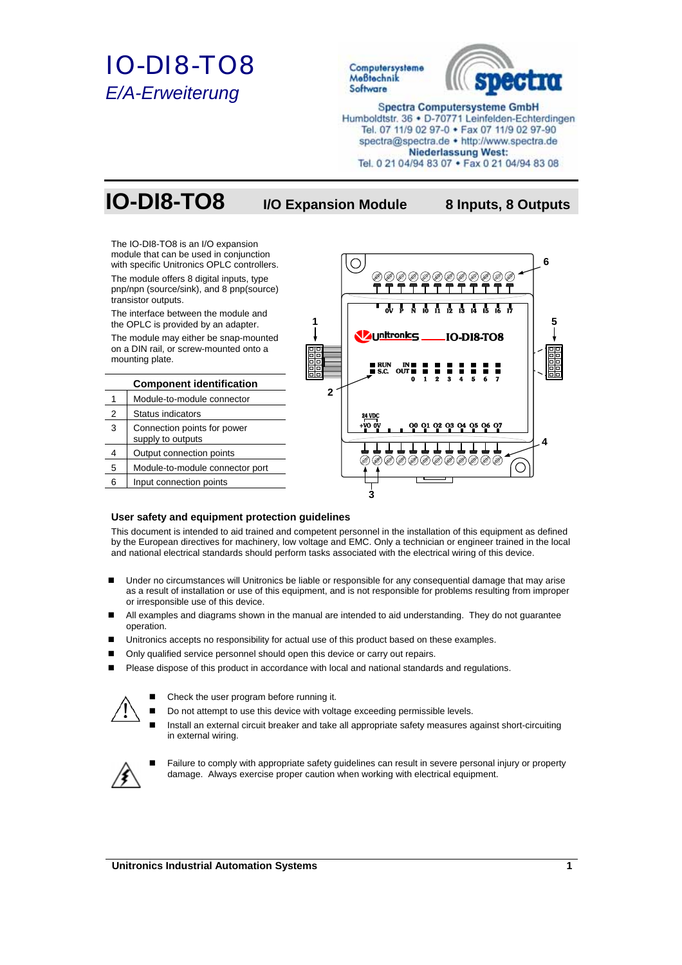# *IO-DI8-TO8 E/A-Erweiterung*



## **IO-DI8-TO8 I/O Expansion Module 8 Inputs, 8 Outputs**

The IO-DI8-TO8 is an I/O expansion module that can be used in conjunction with specific Unitronics OPLC controllers.

The module offers 8 digital inputs, type pnp/npn (source/sink), and 8 pnp(source) transistor outputs.

The interface between the module and the OPLC is provided by an adapter.

The module may either be snap-mounted on a DIN rail, or screw-mounted onto a mounting plate.

| <b>Component identification</b> |                                                  |  |
|---------------------------------|--------------------------------------------------|--|
|                                 | Module-to-module connector                       |  |
| 2                               | <b>Status indicators</b>                         |  |
| 3                               | Connection points for power<br>supply to outputs |  |
| 4                               | Output connection points                         |  |
| 5                               | Module-to-module connector port                  |  |
| հ                               | Input connection points                          |  |



## **User safety and equipment protection guidelines**

This document is intended to aid trained and competent personnel in the installation of this equipment as defined by the European directives for machinery, low voltage and EMC. Only a technician or engineer trained in the local and national electrical standards should perform tasks associated with the electrical wiring of this device.

- Under no circumstances will Unitronics be liable or responsible for any consequential damage that may arise as a result of installation or use of this equipment, and is not responsible for problems resulting from improper or irresponsible use of this device.
- All examples and diagrams shown in the manual are intended to aid understanding. They do not guarantee operation.
- Unitronics accepts no responsibility for actual use of this product based on these examples.
- Only qualified service personnel should open this device or carry out repairs.
- Please dispose of this product in accordance with local and national standards and regulations.



- Check the user program before running it.
- Do not attempt to use this device with voltage exceeding permissible levels.
- Install an external circuit breaker and take all appropriate safety measures against short-circuiting in external wiring.



 Failure to comply with appropriate safety guidelines can result in severe personal injury or property damage. Always exercise proper caution when working with electrical equipment.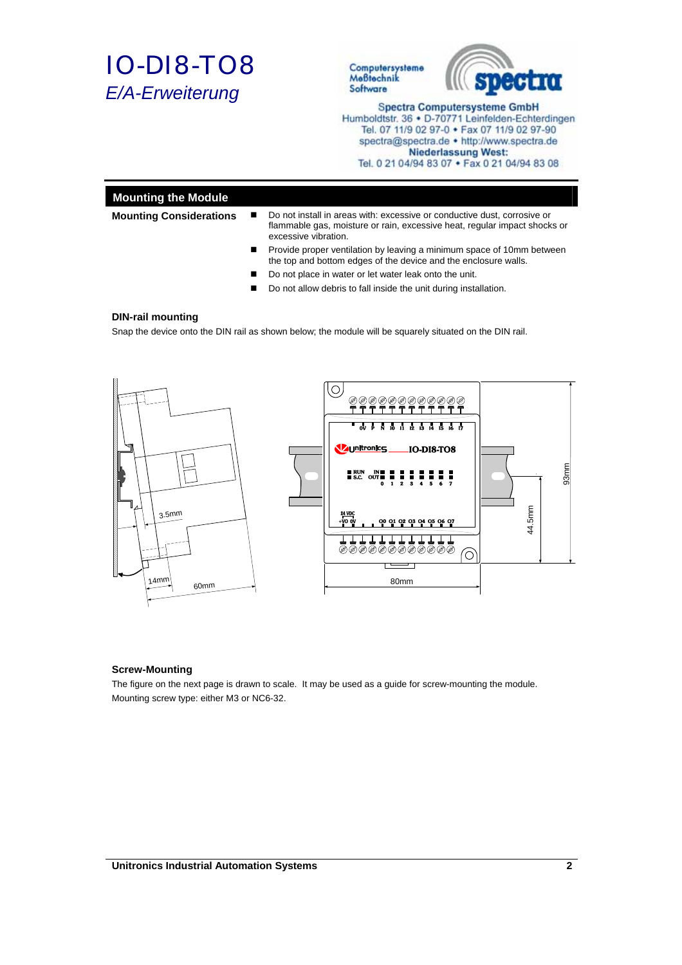



## **Mounting the Module**

- **Mounting Considerations ■** Do not install in areas with: excessive or conductive dust, corrosive or flammable gas, moisture or rain, excessive heat, regular impact shocks or excessive vibration.
	- **Provide proper ventilation by leaving a minimum space of 10mm between** the top and bottom edges of the device and the enclosure walls.
	- Do not place in water or let water leak onto the unit.
	- Do not allow debris to fall inside the unit during installation.

#### **DIN-rail mounting**

Snap the device onto the DIN rail as shown below; the module will be squarely situated on the DIN rail.



### **Screw-Mounting**

The figure on the next page is drawn to scale. It may be used as a guide for screw-mounting the module. Mounting screw type: either M3 or NC6-32.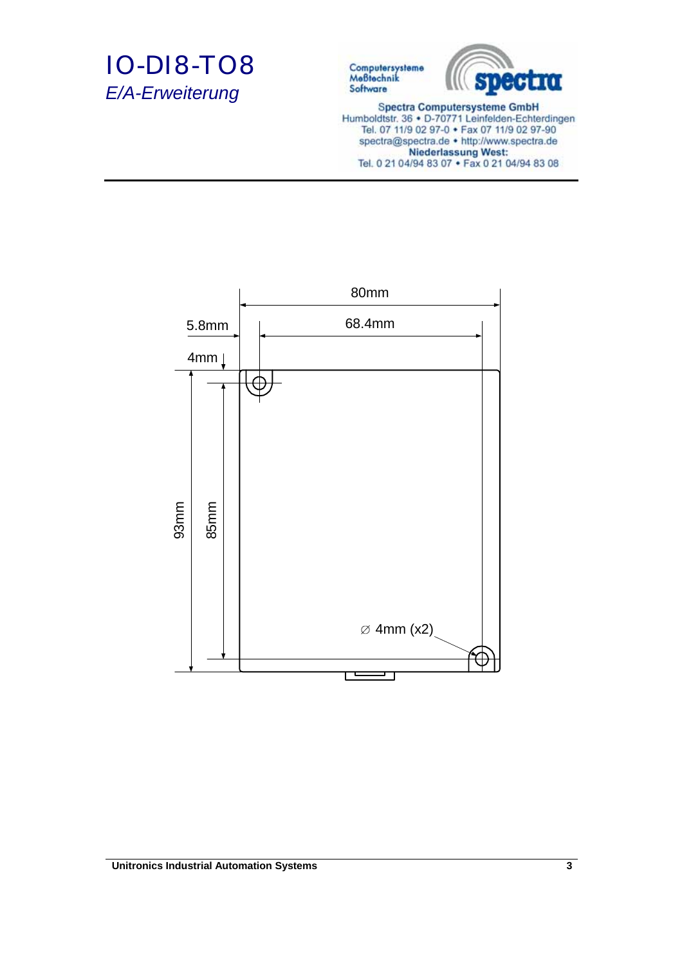



**Spectra Computersysteme GmbH** Humboldtstr. 36 · D-70771 Leinfelden-Echterdingen Tel. 07 11/9 02 97-0 • Fax 07 11/9 02 97-90 spectra@spectra.de . http://www.spectra.de Niederlassung West:<br>Tel. 0 21 04/94 83 07 • Fax 0 21 04/94 83 08

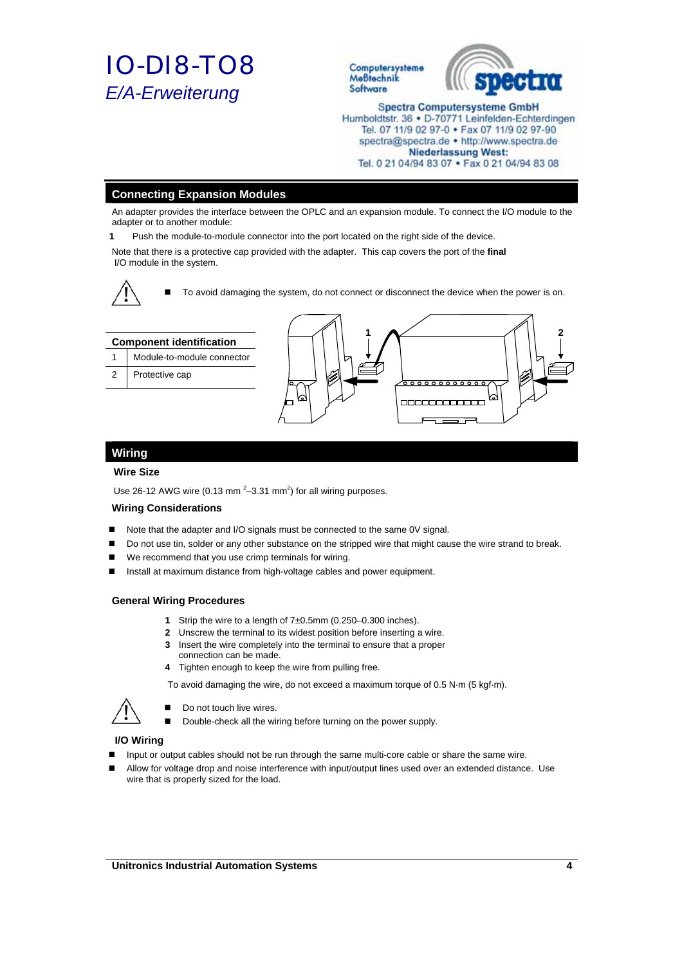



## **Connecting Expansion Modules**

An adapter provides the interface between the OPLC and an expansion module. To connect the I/O module to the adapter or to another module:

**1** Push the module-to-module connector into the port located on the right side of the device.

Note that there is a protective cap provided with the adapter. This cap covers the port of the **final**  I/O module in the system.



■ To avoid damaging the system, do not connect or disconnect the device when the power is on.



## **Wiring**

### **Wire Size**

Use 26-12 AWG wire (0.13 mm<sup>2</sup> $-3.31$  mm<sup>2</sup>) for all wiring purposes.

#### **Wiring Considerations**

- Note that the adapter and I/O signals must be connected to the same 0V signal.
- Do not use tin, solder or any other substance on the stripped wire that might cause the wire strand to break.
- We recommend that you use crimp terminals for wiring.
- Install at maximum distance from high-voltage cables and power equipment.

#### **General Wiring Procedures**

- **1** Strip the wire to a length of 7±0.5mm (0.250–0.300 inches).
- **2** Unscrew the terminal to its widest position before inserting a wire.
- **3** Insert the wire completely into the terminal to ensure that a proper connection can be made.
- **4** Tighten enough to keep the wire from pulling free.

To avoid damaging the wire, do not exceed a maximum torque of 0.5 N·m (5 kgf·m).



Do not touch live wires.

Double-check all the wiring before turning on the power supply.

#### **I/O Wiring**

- Input or output cables should not be run through the same multi-core cable or share the same wire.
- Allow for voltage drop and noise interference with input/output lines used over an extended distance. Use wire that is properly sized for the load.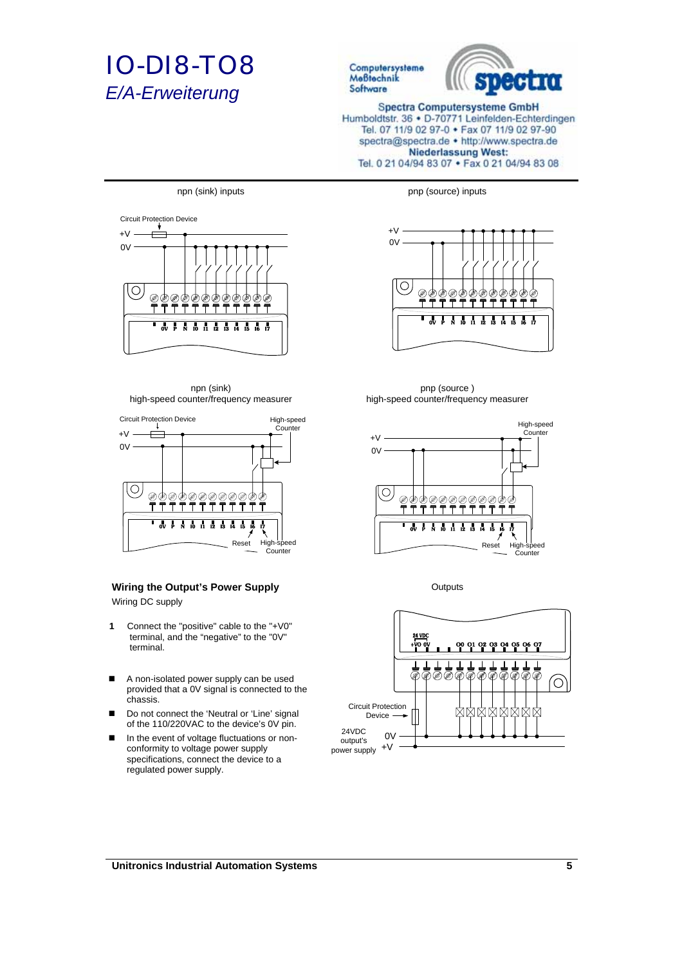



**Spectra Computersysteme GmbH** Humboldtstr. 36 · D-70771 Leinfelden-Echterdingen Tel. 07 11/9 02 97-0 • Fax 07 11/9 02 97-90 spectra@spectra.de . http://www.spectra.de **Niederlassung West:** Tel. 0 21 04/94 83 07 . Fax 0 21 04/94 83 08



npn (sink) high-speed counter/frequency measurer



## **Wiring the Output's Power Supply Culputs** Outputs

Wiring DC supply

- **1** Connect the "positive" cable to the "+V0" terminal, and the "negative" to the "0V" terminal.
- A non-isolated power supply can be used provided that a 0V signal is connected to the chassis.
- Do not connect the 'Neutral or 'Line' signal of the 110/220VAC to the device's 0V pin.
- In the event of voltage fluctuations or nonconformity to voltage power supply specifications, connect the device to a regulated power supply.

npn (sink) inputs pnp (source) inputs



pnp (source ) high-speed counter/frequency measurer